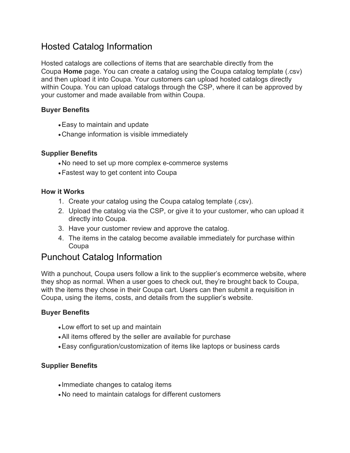# Hosted Catalog Information

Hosted catalogs are collections of items that are searchable directly from the Coupa **Home** page. You can create a catalog using the Coupa catalog template (.csv) and then upload it into Coupa. Your customers can upload hosted catalogs directly within Coupa. You can upload catalogs through the CSP, where it can be approved by your customer and made available from within Coupa.

### **Buyer Benefits**

- •Easy to maintain and update
- •Change information is visible immediately

### **Supplier Benefits**

- •No need to set up more complex e-commerce systems
- •Fastest way to get content into Coupa

#### **How it Works**

- 1. Create your catalog using the Coupa catalog template (.csv).
- 2. Upload the catalog via the CSP, or give it to your customer, who can upload it directly into Coupa.
- 3. Have your customer review and approve the catalog.
- 4. The items in the catalog become available immediately for purchase within Coupa

# Punchout Catalog Information

With a punchout, Coupa users follow a link to the supplier's ecommerce website, where they shop as normal. When a user goes to check out, they're brought back to Coupa, with the items they chose in their Coupa cart. Users can then submit a requisition in Coupa, using the items, costs, and details from the supplier's website.

### **Buyer Benefits**

- •Low effort to set up and maintain
- •All items offered by the seller are available for purchase
- •Easy configuration/customization of items like laptops or business cards

### **Supplier Benefits**

- Immediate changes to catalog items
- •No need to maintain catalogs for different customers